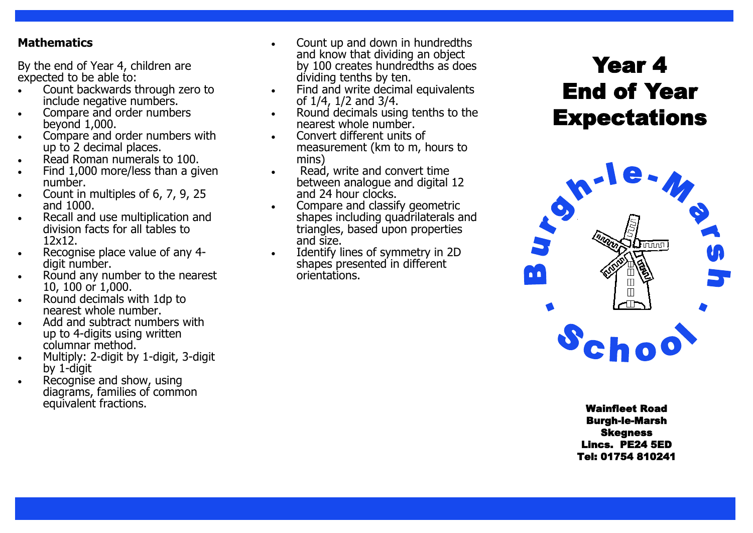#### **Mathematics**

By the end of Year 4, children are expected to be able to:

- Count backwards through zero to include negative numbers.
- Compare and order numbers beyond 1,000.
- Compare and order numbers with up to 2 decimal places.
- Read Roman numerals to 100.
- Find 1,000 more/less than a given number.
- Count in multiples of 6, 7, 9, 25 and 1000.
- Recall and use multiplication and division facts for all tables to 12x12.
- Recognise place value of any 4digit number.
- Round any number to the nearest 10, 100 or 1,000.
- Round decimals with 1dp to nearest whole number.
- Add and subtract numbers with up to 4 -digits using written columnar method.
- Multiply: 2-digit by 1-digit, 3-digit by 1 -digit
- Recognise and show, using diagrams, families of common equivalent fractions. **Wainfleet Road**
- and know that dividing an object by 100 creates hundredths as does dividing tenths by ten.
- Find and write decimal equivalents of 1/4, 1/2 and 3/4.
- Round decimals using tenths to the nearest whole number.
- Convert different units of measurement (km to m, hours to mins)
- Read, write and convert time between analogue and digital 12 and 24 hour clocks.
- Compare and classify geometric shapes including quadrilaterals and triangles, based upon properties and size.
- Identify lines of symmetry in 2D shapes presented in different orientations.

# Year 4 End of Year **Expectations**



Burgh -le -Marsh Skegness Lincs. PE24 5ED